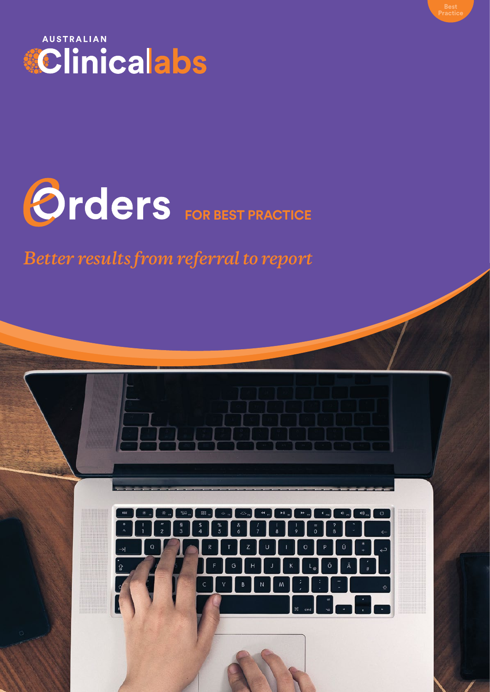



*Better results from referral to report*

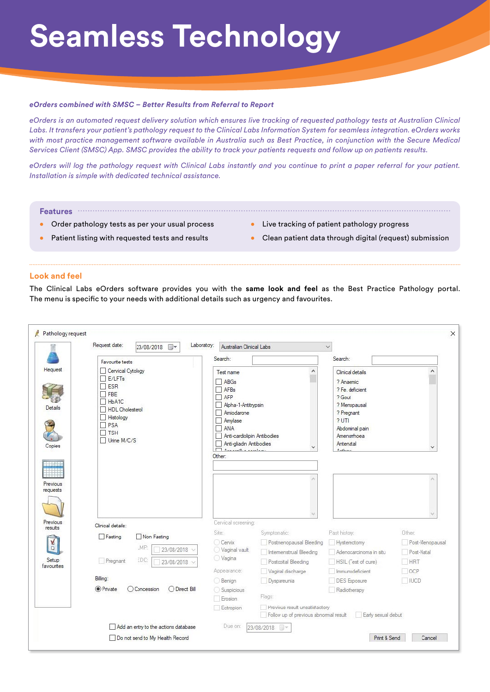# **Seamless Technology**

#### *eOrders combined with SMSC – Better Results from Referral to Report*

*eOrders is an automated request delivery solution which ensures live tracking of requested pathology tests at Australian Clinical Labs. It transfers your patient's pathology request to the Clinical Labs Information System for seamless integration. eOrders works with most practice management software available in Australia such as Best Practice, in conjunction with the Secure Medical Services Client (SMSC) App. SMSC provides the ability to track your patients requests and follow up on patients results.*

*eOrders will log the pathology request with Clinical Labs instantly and you continue to print a paper referral for your patient. Installation is simple with dedicated technical assistance.*

**Features**

- **•** Order pathology tests as per your usual process
- **•** Patient listing with requested tests and results
- **•** Live tracking of patient pathology progress
- **•** Clean patient data through digital (request) submission

### **Look and feel**

The Clinical Labs eOrders software provides you with the **same look and feel** as the Best Practice Pathology portal. The menu is specific to your needs with additional details such as urgency and favourites.

|                                                           | Request date:<br>Laboratory:<br>23/08/2018 ■▼                                                                                                        | Australian Clinical Labs                                                                                                                                                                |                                                                         | $\checkmark$                                                                                                                                                    |                      |
|-----------------------------------------------------------|------------------------------------------------------------------------------------------------------------------------------------------------------|-----------------------------------------------------------------------------------------------------------------------------------------------------------------------------------------|-------------------------------------------------------------------------|-----------------------------------------------------------------------------------------------------------------------------------------------------------------|----------------------|
|                                                           | Favourite tests                                                                                                                                      | Search:                                                                                                                                                                                 |                                                                         | Search:                                                                                                                                                         |                      |
| <b>Hequest</b><br>Details<br>Copies<br>THE SE<br>Previous | Cervical Cytology<br>$\Box$ E/LFTs<br>$\Box$ ESR<br>$\Box$ FBE<br>HbA1C<br>HDL Cholesterol<br>Histology<br>$\Box$ PSA<br>$\Box$ TSH<br>□ Urine M/C/S | Test name<br>$\Box$ ABGs<br>AFBs<br>$\Box$ AFP<br>Alpha-1-Antitrypsin<br>Amiodarone<br>$\Box$ Amylase<br>$\Box$ ANA<br>Anti-cardiolipin Antibodies<br>Anti-gliadin Antibodies<br>Other: | ٨                                                                       | Clinical details<br>? Anaemic<br>? Fe. deficient<br>? Gout<br>? Menopausal<br>? Pregnant<br>? <b>UT</b><br>Abdominal pain<br>Amenomhoea<br>Antenatal<br>$A = L$ | $\land$<br>$\ddot{}$ |
|                                                           |                                                                                                                                                      |                                                                                                                                                                                         |                                                                         |                                                                                                                                                                 |                      |
| requests<br>Previous<br>results                           | Clinical detaile:<br>Non Fasting<br>Fasting                                                                                                          | Cervical screening:<br>Site:                                                                                                                                                            | Symptomatic:                                                            | Past history:                                                                                                                                                   | Other:               |
|                                                           | _MP<br>23/08/2018                                                                                                                                    | Cervix<br>Vaginal vault                                                                                                                                                                 | Postmenopausal Bleeding                                                 | Hysterectomy                                                                                                                                                    |                      |
|                                                           | EDC:<br>Pregnant<br>23/08/2018                                                                                                                       | ◯ Vagina                                                                                                                                                                                | Intermenstrual Bleeding<br>Postcoital Bleeding                          | Adenocarcinoma in situ<br>HSIL (Test of cure)                                                                                                                   | Post-Natal<br>HRT    |
|                                                           |                                                                                                                                                      | Appearance:                                                                                                                                                                             | Vaginal discharge                                                       | Immunodeficient                                                                                                                                                 | OCP                  |
|                                                           | Billing:                                                                                                                                             | <b>Benign</b>                                                                                                                                                                           | Dyspareunia                                                             | <b>DES</b> Exposure                                                                                                                                             | $\Box$ IUCD          |
| A,<br>$\Box$<br>Setup<br>favourites                       | <b>O</b> Private<br><b>O</b> Concession<br>◯ Direct Bill                                                                                             | Suspicious<br>Erosion                                                                                                                                                                   | Flags:                                                                  | Radiotherapy                                                                                                                                                    | Post-Menopausal      |
|                                                           |                                                                                                                                                      | Ectropion                                                                                                                                                                               | Previous result unsatisfactory<br>Follow up of previous abnormal result | Early sexual debut                                                                                                                                              |                      |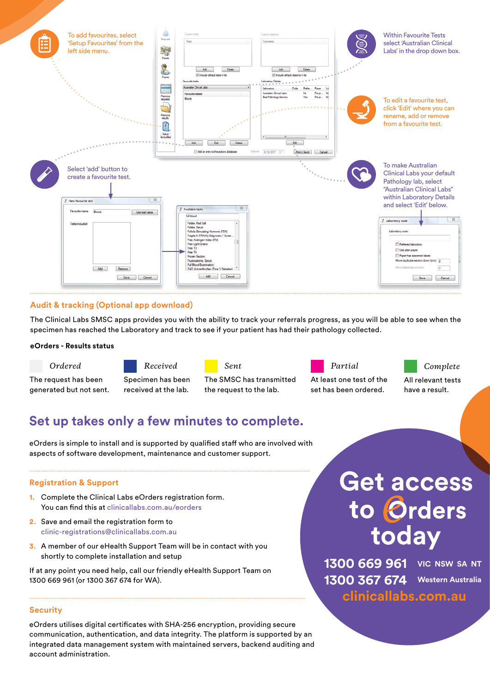

# **Audit & tracking (Optional app download)**

The Clinical Labs SMSC apps provides you with the ability to track your referrals progress, as you will be able to see when the specimen has reached the Laboratory and track to see if your patient has had their pathology collected.

#### **eOrders - Results status**



The request has been generated but not sent.





The SMSC has transmitted the request to the lab.



At least one test of the set has been ordered.

# *Complete*

All relevant tests have a result.

# **Set up takes only a few minutes to complete.**

eOrders is simple to install and is supported by qualified staff who are involved with aspects of software development, maintenance and customer support.

# **Registration & Support**

- **1.** Complete the Clinical Labs eOrders registration form. You can find this at clinicallabs.com.au/eorders
- **2.** Save and email the registration form to clinic-registrations@clinicallabs.com.au
- **3.** A member of our eHealth Support Team will be in contact with you shortly to complete installation and setup

If at any point you need help, call our friendly eHealth Support Team on 1300 669 961 (or 1300 367 674 for WA).

# **Security**

eOrders utilises digital certificates with SHA-256 encryption, providing secure communication, authentication, and data integrity. The platform is supported by an integrated data management system with maintained servers, backend auditing and account administration.

# **Get access today** to **Orders**

**1300 669 961 VIC NSW SA NT 1300 367 674 Western Australia clinicallabs.com.au**